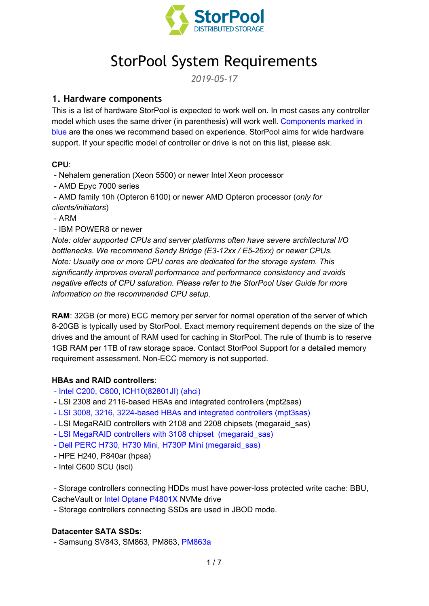

# StorPool System Requirements

*2019-05-17*

# **1. Hardware components**

This is a list of hardware StorPool is expected to work well on. In most cases any controller model which uses the same driver (in parenthesis) will work well. Components marked in blue are the ones we recommend based on experience. StorPool aims for wide hardware support. If your specific model of controller or drive is not on this list, please ask.

## **CPU**:

- Nehalem generation (Xeon 5500) or newer Intel Xeon processor

- AMD Epyc 7000 series

- AMD family 10h (Opteron 6100) or newer AMD Opteron processor (*only for clients/initiators*)

- ARM
- IBM POWER8 or newer

*Note: older supported CPUs and server platforms often have severe architectural I/O bottlenecks. We recommend Sandy Bridge (E3-12xx / E5-26xx) or newer CPUs. Note: Usually one or more CPU cores are dedicated for the storage system. This significantly improves overall performance and performance consistency and avoids negative effects of CPU saturation. Please refer to the StorPool User Guide for more information on the recommended CPU setup.*

**RAM**: 32GB (or more) ECC memory per server for normal operation of the server of which 8-20GB is typically used by StorPool. Exact memory requirement depends on the size of the drives and the amount of RAM used for caching in StorPool. The rule of thumb is to reserve 1GB RAM per 1TB of raw storage space. Contact StorPool Support for a detailed memory requirement assessment. Non-ECC memory is not supported.

## **HBAs and RAID controllers**:

- Intel C200, C600, ICH10(82801JI) (ahci)
- LSI 2308 and 2116-based HBAs and integrated controllers (mpt2sas)
- LSI 3008, 3216, 3224-based HBAs and integrated controllers (mpt3sas)
- LSI MegaRAID controllers with 2108 and 2208 chipsets (megaraid\_sas)
- LSI MegaRAID controllers with 3108 chipset (megaraid\_sas)
- Dell PERC H730, H730 Mini, H730P Mini (megaraid\_sas)
- HPE H240, P840ar (hpsa)
- Intel C600 SCU (isci)

- Storage controllers connecting HDDs must have power-loss protected write cache: BBU, CacheVault or Intel Optane P4801X NVMe drive

- Storage controllers connecting SSDs are used in JBOD mode.

#### **Datacenter SATA SSDs**:

- Samsung SV843, SM863, PM863, PM863a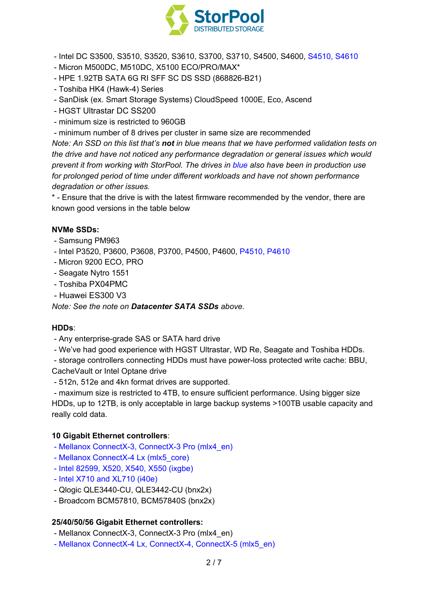

- Intel DC S3500, S3510, S3520, S3610, S3700, S3710, S4500, S4600, S4510, S4610

- Micron M500DC, M510DC, X5100 ECO/PRO/MAX\*
- HPE 1.92TB SATA 6G RI SFF SC DS SSD (868826-B21)
- Toshiba HK4 (Hawk-4) Series
- SanDisk (ex. Smart Storage Systems) CloudSpeed 1000E, Eco, Ascend
- HGST Ultrastar DC SS200
- minimum size is restricted to 960GB
- minimum number of 8 drives per cluster in same size are recommended

*Note: An SSD on this list that's not in blue means that we have performed validation tests on the drive and have not noticed any performance degradation or general issues which would prevent it from working with StorPool. The drives in blue also have been in production use for prolonged period of time under different workloads and have not shown performance degradation or other issues.*

\* - Ensure that the drive is with the latest firmware recommended by the vendor, there are known good versions in the table below

#### **NVMe SSDs:**

- Samsung PM963
- Intel P3520, P3600, P3608, P3700, P4500, P4600, P4510, P4610
- Micron 9200 ECO, PRO
- Seagate Nytro 1551
- Toshiba PX04PMC
- Huawei ES300 V3

*Note: See the note on Datacenter SATA SSDs above.*

#### **HDDs**:

- Any enterprise-grade SAS or SATA hard drive
- We've had good experience with HGST Ultrastar, WD Re, Seagate and Toshiba HDDs.
- storage controllers connecting HDDs must have power-loss protected write cache: BBU,
- CacheVault or Intel Optane drive
- 512n, 512e and 4kn format drives are supported.

- maximum size is restricted to 4TB, to ensure sufficient performance. Using bigger size HDDs, up to 12TB, is only acceptable in large backup systems >100TB usable capacity and really cold data.

#### **10 Gigabit Ethernet controllers**:

- Mellanox ConnectX-3, ConnectX-3 Pro (mlx4\_en)
- Mellanox ConnectX-4 Lx (mlx5\_core)
- Intel 82599, X520, X540, X550 (ixgbe)
- Intel X710 and XL710 (i40e)
- Qlogic QLE3440-CU, QLE3442-CU (bnx2x)
- Broadcom BCM57810, BCM57840S (bnx2x)

#### **25/40/50/56 Gigabit Ethernet controllers:**

- Mellanox ConnectX-3, ConnectX-3 Pro (mlx4\_en)
- Mellanox ConnectX-4 Lx, ConnectX-4, ConnectX-5 (mlx5\_en)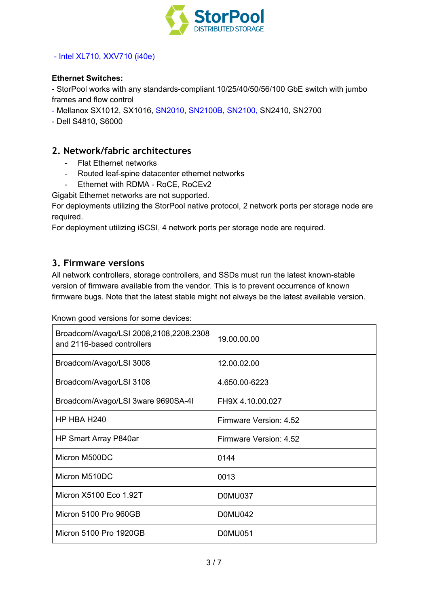

## - Intel XL710, XXV710 (i40e)

#### **Ethernet Switches:**

- StorPool works with any standards-compliant 10/25/40/50/56/100 GbE switch with jumbo frames and flow control

- Mellanox SX1012, SX1016, SN2010, SN2100B, SN2100, SN2410, SN2700

- Dell S4810, S6000

## **2. Network/fabric architectures**

- Flat Ethernet networks
- Routed leaf-spine datacenter ethernet networks
- Ethernet with RDMA RoCE, RoCEv2

Gigabit Ethernet networks are not supported.

For deployments utilizing the StorPool native protocol, 2 network ports per storage node are required.

For deployment utilizing iSCSI, 4 network ports per storage node are required.

## **3. Firmware versions**

All network controllers, storage controllers, and SSDs must run the latest known-stable version of firmware available from the vendor. This is to prevent occurrence of known firmware bugs. Note that the latest stable might not always be the latest available version.

Known good versions for some devices:

| Broadcom/Avago/LSI 2008,2108,2208,2308<br>and 2116-based controllers | 19.00.00.00            |
|----------------------------------------------------------------------|------------------------|
| Broadcom/Avago/LSI 3008                                              | 12.00.02.00            |
| Broadcom/Avago/LSI 3108                                              | 4.650.00-6223          |
| Broadcom/Avago/LSI 3ware 9690SA-4I                                   | FH9X 4.10.00.027       |
| HP HBA H240                                                          | Firmware Version: 4.52 |
| HP Smart Array P840ar                                                | Firmware Version: 4.52 |
| Micron M500DC                                                        | 0144                   |
| Micron M510DC                                                        | 0013                   |
| Micron X5100 Eco 1.92T                                               | D0MU037                |
| Micron 5100 Pro 960GB                                                | <b>D0MU042</b>         |
| Micron 5100 Pro 1920GB                                               | <b>D0MU051</b>         |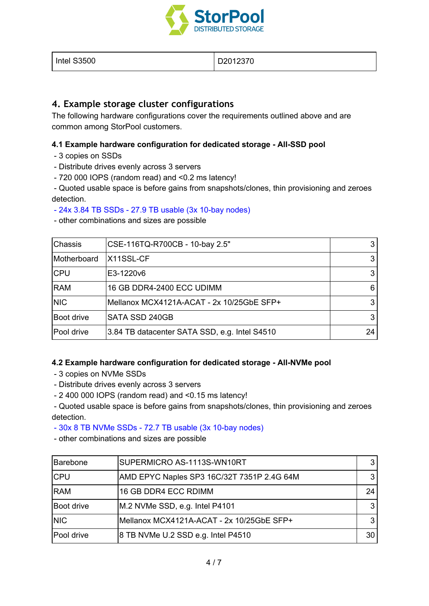

| Intel S3500 | D2012370 |
|-------------|----------|
|             |          |

# **4. Example storage cluster configurations**

The following hardware configurations cover the requirements outlined above and are common among StorPool customers.

## **4.1 Example hardware configuration for dedicated storage - All-SSD pool**

- 3 copies on SSDs
- Distribute drives evenly across 3 servers
- 720 000 IOPS (random read) and <0.2 ms latency!

- Quoted usable space is before gains from snapshots/clones, thin provisioning and zeroes detection.

#### - 24x 3.84 TB SSDs - 27.9 TB usable (3x 10-bay nodes)

- other combinations and sizes are possible

| <b>Chassis</b>    | CSE-116TQ-R700CB - 10-bay 2.5"                |    |
|-------------------|-----------------------------------------------|----|
| Motherboard       | <b>X11SSL-CF</b>                              |    |
| <b>CPU</b>        | E3-1220v6                                     |    |
| <b>RAM</b>        | 16 GB DDR4-2400 ECC UDIMM                     | 6  |
| <b>NIC</b>        | Mellanox MCX4121A-ACAT - 2x 10/25GbE SFP+     |    |
| <b>Boot drive</b> | SATA SSD 240GB                                |    |
| Pool drive        | 3.84 TB datacenter SATA SSD, e.g. Intel S4510 | 24 |

#### **4.2 Example hardware configuration for dedicated storage - All-NVMe pool**

- 3 copies on NVMe SSDs
- Distribute drives evenly across 3 servers
- 2 400 000 IOPS (random read) and <0.15 ms latency!

- Quoted usable space is before gains from snapshots/clones, thin provisioning and zeroes detection.

## - 30x 8 TB NVMe SSDs - 72.7 TB usable (3x 10-bay nodes)

- other combinations and sizes are possible

| Barebone   | SUPERMICRO AS-1113S-WN10RT                 |    |
|------------|--------------------------------------------|----|
| <b>CPU</b> | AMD EPYC Naples SP3 16C/32T 7351P 2.4G 64M |    |
| <b>RAM</b> | 16 GB DDR4 ECC RDIMM                       | 24 |
| Boot drive | M.2 NVMe SSD, e.g. Intel P4101             |    |
| <b>NIC</b> | Mellanox MCX4121A-ACAT - 2x 10/25GbE SFP+  |    |
| Pool drive | 8 TB NVMe U.2 SSD e.g. Intel P4510         | 30 |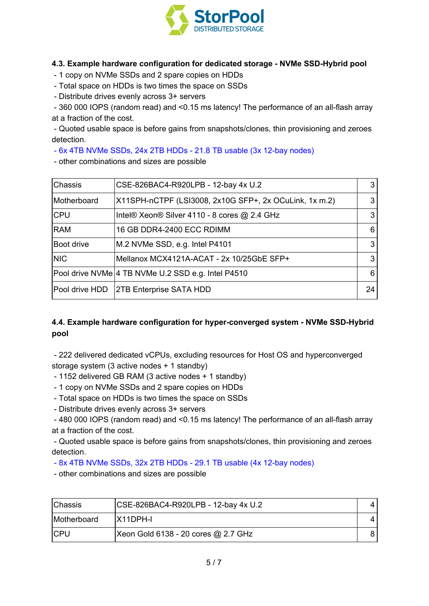

## **4.3. Example hardware configuration for dedicated storage - NVMe SSD-Hybrid pool**

- 1 copy on NVMe SSDs and 2 spare copies on HDDs

- Total space on HDDs is two times the space on SSDs
- Distribute drives evenly across 3+ servers

- 360 000 IOPS (random read) and <0.15 ms latency! The performance of an all-flash array at a fraction of the cost.

- Quoted usable space is before gains from snapshots/clones, thin provisioning and zeroes detection.

- 6x 4TB NVMe SSDs, 24x 2TB HDDs - 21.8 TB usable (3x 12-bay nodes)

- other combinations and sizes are possible

| Chassis     | CSE-826BAC4-R920LPB - 12-bay 4x U.2                    |    |
|-------------|--------------------------------------------------------|----|
| Motherboard | X11SPH-nCTPF (LSI3008, 2x10G SFP+, 2x OCuLink, 1x m.2) | 3  |
| <b>CPU</b>  | Intel® Xeon® Silver 4110 - 8 cores @ 2.4 GHz           |    |
| <b>RAM</b>  | 16 GB DDR4-2400 ECC RDIMM                              | 6  |
| Boot drive  | M.2 NVMe SSD, e.g. Intel P4101                         | 3  |
| <b>NIC</b>  | Mellanox MCX4121A-ACAT - 2x 10/25GbE SFP+              | 3  |
|             | Pool drive NVMe   4 TB NVMe U.2 SSD e.g. Intel P4510   | 6  |
|             | Pool drive HDD   2TB Enterprise SATA HDD               | 24 |

# **4.4. Example hardware configuration for hyper-converged system - NVMe SSD-Hybrid pool**

- 222 delivered dedicated vCPUs, excluding resources for Host OS and hyperconverged storage system (3 active nodes + 1 standby)

- 1152 delivered GB RAM (3 active nodes + 1 standby)
- 1 copy on NVMe SSDs and 2 spare copies on HDDs
- Total space on HDDs is two times the space on SSDs
- Distribute drives evenly across 3+ servers

- 480 000 IOPS (random read) and <0.15 ms latency! The performance of an all-flash array at a fraction of the cost.

- Quoted usable space is before gains from snapshots/clones, thin provisioning and zeroes detection.

- 8x 4TB NVMe SSDs, 32x 2TB HDDs - 29.1 TB usable (4x 12-bay nodes)

- other combinations and sizes are possible

| <b>Chassis</b> | CSE-826BAC4-R920LPB - 12-bay 4x U.2 |  |
|----------------|-------------------------------------|--|
| Motherboard    | IX11DPH-I                           |  |
| <b>ICPU</b>    | Xeon Gold 6138 - 20 cores @ 2.7 GHz |  |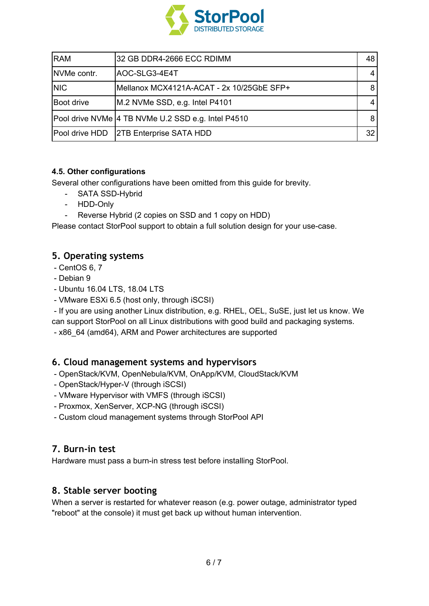

| <b>RAM</b>        | 32 GB DDR4-2666 ECC RDIMM                          | 48 |
|-------------------|----------------------------------------------------|----|
| NVMe contr.       | AOC-SLG3-4E4T                                      |    |
| <b>NIC</b>        | Mellanox MCX4121A-ACAT - 2x 10/25GbE SFP+          |    |
| <b>Boot drive</b> | M.2 NVMe SSD, e.g. Intel P4101                     |    |
|                   | Pool drive NVMe 4 TB NVMe U.2 SSD e.g. Intel P4510 | 8  |
| Pool drive HDD    | <b>2TB Enterprise SATA HDD</b>                     | 32 |

## **4.5. Other configurations**

Several other configurations have been omitted from this guide for brevity.

- SATA SSD-Hybrid
- HDD-Only
- Reverse Hybrid (2 copies on SSD and 1 copy on HDD)

Please contact StorPool support to obtain a full solution design for your use-case.

# **5. Operating systems**

- CentOS 6, 7
- Debian 9
- Ubuntu 16.04 LTS, 18.04 LTS
- VMware ESXi 6.5 (host only, through iSCSI)

- If you are using another Linux distribution, e.g. RHEL, OEL, SuSE, just let us know. We can support StorPool on all Linux distributions with good build and packaging systems.

- x86\_64 (amd64), ARM and Power architectures are supported

# **6. Cloud management systems and hypervisors**

- OpenStack/KVM, OpenNebula/KVM, OnApp/KVM, CloudStack/KVM
- OpenStack/Hyper-V (through iSCSI)
- VMware Hypervisor with VMFS (through iSCSI)
- Proxmox, XenServer, XCP-NG (through iSCSI)
- Custom cloud management systems through StorPool API

# **7. Burn-in test**

Hardware must pass a burn-in stress test before installing StorPool.

# **8. Stable server booting**

When a server is restarted for whatever reason (e.g. power outage, administrator typed "reboot" at the console) it must get back up without human intervention.